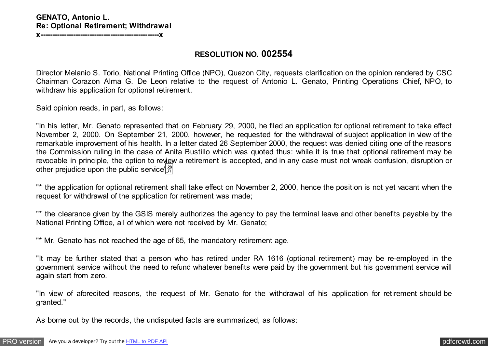**RESOLUTION NO. 002554**

Director Melanio S. Torio, National Printing Office (NPO), Quezon City, requests clarification on the opinion rendered by CSC Chairman Corazon Alma G. De Leon relative to the request of Antonio L. Genato, Printing Operations Chief, NPO, to withdraw his application for optional retirement.

Said opinion reads, in part, as follows:

"In his letter, Mr. Genato represented that on February 29, 2000, he filed an application for optional retirement to take effect November 2, 2000. On September 21, 2000, however, he requested for the withdrawal of subject application in view of the remarkable improvement of his health. In a letter dated 26 September 2000, the request was denied citing one of the reasons the Commission ruling in the case of Anita Bustillo which was quoted thus: while it is true that optional retirement may be revocable in principle, the option to review a retirement is accepted, and in any case must not wreak confusion, disruption or other prejudice upon the public service  $\frac{2y}{y}$ 

"\* the application for optional retirement shall take effect on November 2, 2000, hence the position is not yet vacant when the request for withdrawal of the application for retirement was made;

"\* the clearance given by the GSIS merely authorizes the agency to pay the terminal leave and other benefits payable by the National Printing Office, all of which were not received by Mr. Genato;

"\* Mr. Genato has not reached the age of 65, the mandatory retirement age.

"It may be further stated that a person who has retired under RA 1616 (optional retirement) may be re-employed in the government service without the need to refund whatever benefits were paid by the government but his government service will again start from zero.

"In view of aforecited reasons, the request of Mr. Genato for the withdrawal of his application for retirement should be granted."

As borne out by the records, the undisputed facts are summarized, as follows: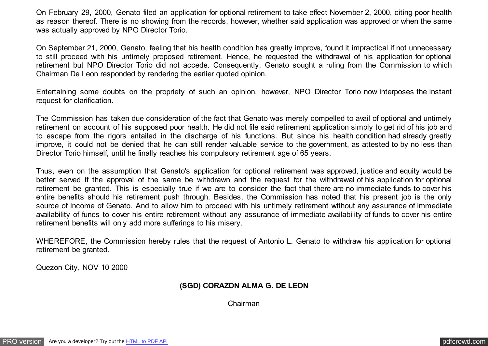On February 29, 2000, Genato filed an application for optional retirement to take effect November 2, 2000, citing poor health as reason thereof. There is no showing from the records, however, whether said application was approved or when the same was actually approved by NPO Director Torio.

On September 21, 2000, Genato, feeling that his health condition has greatly improve, found it impractical if not unnecessary to still proceed with his untimely proposed retirement. Hence, he requested the withdrawal of his application for optional retirement but NPO Director Torio did not accede. Consequently, Genato sought a ruling from the Commission to which Chairman De Leon responded by rendering the earlier quoted opinion.

Entertaining some doubts on the propriety of such an opinion, however, NPO Director Torio now interposes the instant request for clarification.

The Commission has taken due consideration of the fact that Genato was merely compelled to avail of optional and untimely retirement on account of his supposed poor health. He did not file said retirement application simply to get rid of his job and to escape from the rigors entailed in the discharge of his functions. But since his health condition had already greatly improve, it could not be denied that he can still render valuable service to the government, as attested to by no less than Director Torio himself, until he finally reaches his compulsory retirement age of 65 years.

Thus, even on the assumption that Genato's application for optional retirement was approved, justice and equity would be better served if the approval of the same be withdrawn and the request for the withdrawal of his application for optional retirement be granted. This is especially true if we are to consider the fact that there are no immediate funds to cover his entire benefits should his retirement push through. Besides, the Commission has noted that his present job is the only source of income of Genato. And to allow him to proceed with his untimely retirement without any assurance of immediate availability of funds to cover his entire retirement without any assurance of immediate availability of funds to cover his entire retirement benefits will only add more sufferings to his misery.

WHEREFORE, the Commission hereby rules that the request of Antonio L. Genato to withdraw his application for optional retirement be granted.

Quezon City, NOV 10 2000

## **(SGD) CORAZON ALMA G. DE LEON**

Chairman